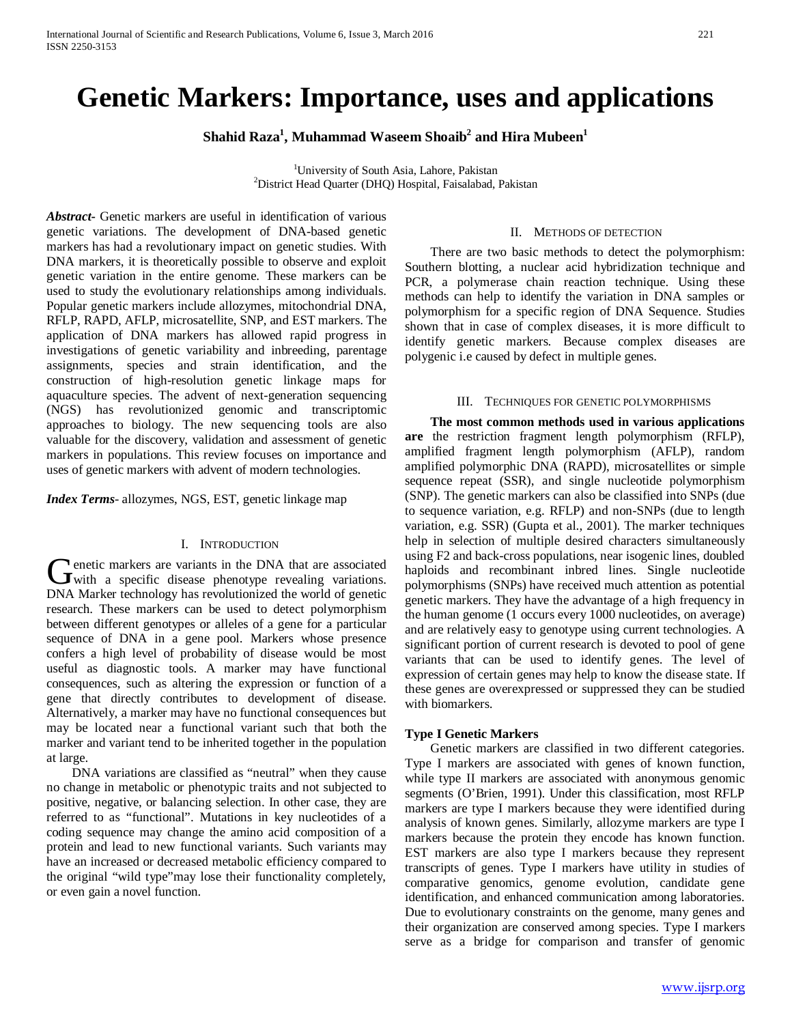# **Genetic Markers: Importance, uses and applications**

 $\boldsymbol{\mathrm{Shahid\; Raza}^{1}},$   $\boldsymbol{\mathrm{Muhammad\; Waseem\; Shoaib}^{2}}$  and  $\boldsymbol{\mathrm{Hira\; Mubeen}^{1}}$ 

<sup>1</sup>University of South Asia, Lahore, Pakistan<sup>2</sup> District Head Quarter (DHO) Heapital Esisabeted <sup>2</sup>District Head Quarter (DHQ) Hospital, Faisalabad, Pakistan

*Abstract***-** Genetic markers are useful in identification of various genetic variations. The development of DNA-based genetic markers has had a revolutionary impact on genetic studies. With DNA markers, it is theoretically possible to observe and exploit genetic variation in the entire genome. These markers can be used to study the evolutionary relationships among individuals. Popular genetic markers include allozymes, mitochondrial DNA, RFLP, RAPD, AFLP, microsatellite, SNP, and EST markers. The application of DNA markers has allowed rapid progress in investigations of genetic variability and inbreeding, parentage assignments, species and strain identification, and the construction of high-resolution genetic linkage maps for aquaculture species. The advent of next-generation sequencing (NGS) has revolutionized genomic and transcriptomic approaches to biology. The new sequencing tools are also valuable for the discovery, validation and assessment of genetic markers in populations. This review focuses on importance and uses of genetic markers with advent of modern technologies.

*Index Terms*- allozymes, NGS, EST, genetic linkage map

#### I. INTRODUCTION

enetic markers are variants in the DNA that are associated Genetic markers are variants in the DNA that are associated<br>with a specific disease phenotype revealing variations. DNA Marker technology has revolutionized the world of genetic research. These markers can be used to detect polymorphism between different genotypes or alleles of a gene for a particular sequence of DNA in a gene pool. Markers whose presence confers a high level of probability of disease would be most useful as diagnostic tools. A marker may have functional consequences, such as altering the expression or function of a gene that directly contributes to development of disease. Alternatively, a marker may have no functional consequences but may be located near a functional variant such that both the marker and variant tend to be inherited together in the population at large.

 DNA variations are classified as "neutral" when they cause no change in metabolic or phenotypic traits and not subjected to positive, negative, or balancing selection. In other case, they are referred to as "functional". Mutations in key nucleotides of a coding sequence may change the amino acid composition of a protein and lead to new functional variants. Such variants may have an increased or decreased metabolic efficiency compared to the original "wild type"may lose their functionality completely, or even gain a novel function.

## II. METHODS OF DETECTION

 There are two basic methods to detect the polymorphism: Southern blotting, a nuclear acid hybridization technique and PCR, a polymerase chain reaction technique. Using these methods can help to identify the variation in DNA samples or polymorphism for a specific region of DNA Sequence. Studies shown that in case of complex diseases, it is more difficult to identify genetic markers. Because complex diseases are polygenic i.e caused by defect in multiple genes.

#### III. TECHNIQUES FOR GENETIC POLYMORPHISMS

 **The most common methods used in various applications are** the restriction fragment length polymorphism (RFLP), amplified fragment length polymorphism (AFLP), random amplified polymorphic DNA (RAPD), microsatellites or simple sequence repeat (SSR), and single nucleotide polymorphism (SNP). The genetic markers can also be classified into SNPs (due to sequence variation, e.g. RFLP) and non-SNPs (due to length variation, e.g. SSR) (Gupta et al., 2001). The marker techniques help in selection of multiple desired characters simultaneously using F2 and back-cross populations, near isogenic lines, doubled haploids and recombinant inbred lines. Single nucleotide polymorphisms (SNPs) have received much attention as potential genetic markers. They have the advantage of a high frequency in the human genome (1 occurs every 1000 nucleotides, on average) and are relatively easy to genotype using current technologies. A significant portion of current research is devoted to pool of gene variants that can be used to identify genes. The level of expression of certain genes may help to know the disease state. If these genes are overexpressed or suppressed they can be studied with biomarkers.

#### **Type I Genetic Markers**

 Genetic markers are classified in two different categories. Type I markers are associated with genes of known function, while type II markers are associated with anonymous genomic segments (O'Brien, 1991). Under this classification, most RFLP markers are type I markers because they were identified during analysis of known genes. Similarly, allozyme markers are type I markers because the protein they encode has known function. EST markers are also type I markers because they represent transcripts of genes. Type I markers have utility in studies of comparative genomics, genome evolution, candidate gene identification, and enhanced communication among laboratories. Due to evolutionary constraints on the genome, many genes and their organization are conserved among species. Type I markers serve as a bridge for comparison and transfer of genomic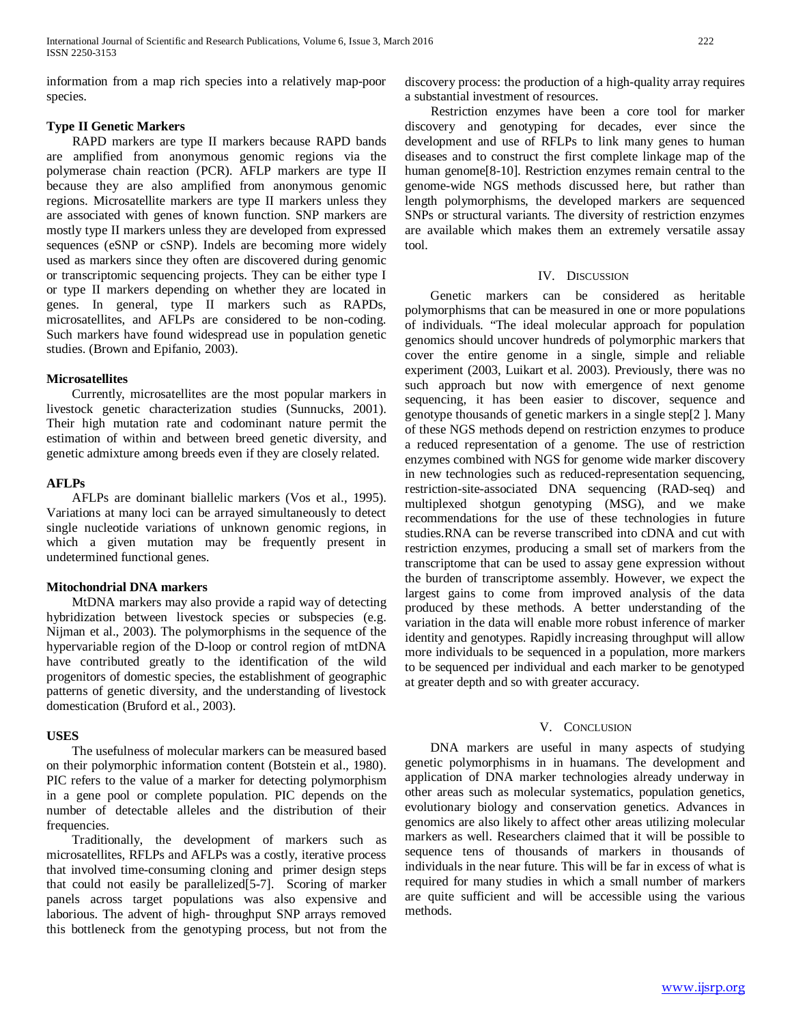information from a map rich species into a relatively map-poor species.

# **Type II Genetic Markers**

 RAPD markers are type II markers because RAPD bands are amplified from anonymous genomic regions via the polymerase chain reaction (PCR). AFLP markers are type II because they are also amplified from anonymous genomic regions. Microsatellite markers are type II markers unless they are associated with genes of known function. SNP markers are mostly type II markers unless they are developed from expressed sequences (eSNP or cSNP). Indels are becoming more widely used as markers since they often are discovered during genomic or transcriptomic sequencing projects. They can be either type I or type II markers depending on whether they are located in genes. In general, type II markers such as RAPDs, microsatellites, and AFLPs are considered to be non-coding. Such markers have found widespread use in population genetic studies. (Brown and Epifanio, 2003).

#### **Microsatellites**

 Currently, microsatellites are the most popular markers in livestock genetic characterization studies (Sunnucks, 2001). Their high mutation rate and codominant nature permit the estimation of within and between breed genetic diversity, and genetic admixture among breeds even if they are closely related.

# **AFLPs**

 AFLPs are dominant biallelic markers (Vos et al., 1995). Variations at many loci can be arrayed simultaneously to detect single nucleotide variations of unknown genomic regions, in which a given mutation may be frequently present in undetermined functional genes.

## **Mitochondrial DNA markers**

 MtDNA markers may also provide a rapid way of detecting hybridization between livestock species or subspecies (e.g. Nijman et al., 2003). The polymorphisms in the sequence of the hypervariable region of the D-loop or control region of mtDNA have contributed greatly to the identification of the wild progenitors of domestic species, the establishment of geographic patterns of genetic diversity, and the understanding of livestock domestication (Bruford et al., 2003).

#### **USES**

 The usefulness of molecular markers can be measured based on their polymorphic information content (Botstein et al., 1980). PIC refers to the value of a marker for detecting polymorphism in a gene pool or complete population. PIC depends on the number of detectable alleles and the distribution of their frequencies.

 Traditionally, the development of markers such as microsatellites, RFLPs and AFLPs was a costly, iterative process that involved time-consuming cloning and primer design steps that could not easily be parallelized[5-7]. Scoring of marker panels across target populations was also expensive and laborious. The advent of high- throughput SNP arrays removed this bottleneck from the genotyping process, but not from the discovery process: the production of a high-quality array requires a substantial investment of resources.

 Restriction enzymes have been a core tool for marker discovery and genotyping for decades, ever since the development and use of RFLPs to link many genes to human diseases and to construct the first complete linkage map of the human genome[8-10]. Restriction enzymes remain central to the genome-wide NGS methods discussed here, but rather than length polymorphisms, the developed markers are sequenced SNPs or structural variants. The diversity of restriction enzymes are available which makes them an extremely versatile assay tool.

#### IV. DISCUSSION

 Genetic markers can be considered as heritable polymorphisms that can be measured in one or more populations of individuals. "The ideal molecular approach for population genomics should uncover hundreds of polymorphic markers that cover the entire genome in a single, simple and reliable experiment (2003, Luikart et al. 2003). Previously, there was no such approach but now with emergence of next genome sequencing, it has been easier to discover, sequence and genotype thousands of genetic markers in a single step[2 ]. Many of these NGS methods depend on restriction enzymes to produce a reduced representation of a genome. The use of restriction enzymes combined with NGS for genome wide marker discovery in new technologies such as reduced-representation sequencing, restriction-site-associated DNA sequencing (RAD-seq) and multiplexed shotgun genotyping (MSG), and we make recommendations for the use of these technologies in future studies.RNA can be reverse transcribed into cDNA and cut with restriction enzymes, producing a small set of markers from the transcriptome that can be used to assay gene expression without the burden of transcriptome assembly. However, we expect the largest gains to come from improved analysis of the data produced by these methods. A better understanding of the variation in the data will enable more robust inference of marker identity and genotypes. Rapidly increasing throughput will allow more individuals to be sequenced in a population, more markers to be sequenced per individual and each marker to be genotyped at greater depth and so with greater accuracy.

# V. CONCLUSION

 DNA markers are useful in many aspects of studying genetic polymorphisms in in huamans. The development and application of DNA marker technologies already underway in other areas such as molecular systematics, population genetics, evolutionary biology and conservation genetics. Advances in genomics are also likely to affect other areas utilizing molecular markers as well. Researchers claimed that it will be possible to sequence tens of thousands of markers in thousands of individuals in the near future. This will be far in excess of what is required for many studies in which a small number of markers are quite sufficient and will be accessible using the various methods.